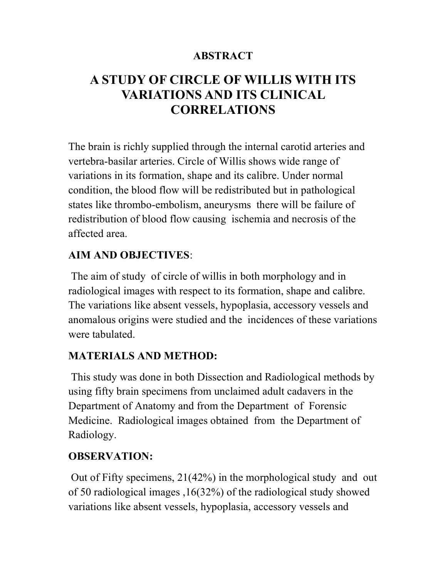#### **ABSTRACT**

# A STUDY OF CIRCLE OF WILLIS WITH ITS VARIATIONS AND ITS CLINICAL CORRELATIONS

The brain is richly supplied through the internal carotid arteries and vertebra-basilar arteries. Circle of Willis shows wide range of variations in its formation, shape and its calibre. Under normal condition, the blood flow will be redistributed but in pathological states like thrombo-embolism, aneurysms there will be failure of redistribution of blood flow causing ischemia and necrosis of the affected area.

## AIM AND OBJECTIVES:

 The aim of study of circle of willis in both morphology and in radiological images with respect to its formation, shape and calibre. The variations like absent vessels, hypoplasia, accessory vessels and anomalous origins were studied and the incidences of these variations were tabulated.

## MATERIALS AND METHOD:

This study was done in both Dissection and Radiological methods by using fifty brain specimens from unclaimed adult cadavers in the Department of Anatomy and from the Department of Forensic Medicine. Radiological images obtained from the Department of Radiology.

## OBSERVATION:

Out of Fifty specimens, 21(42%) in the morphological study and out of 50 radiological images ,16(32%) of the radiological study showed variations like absent vessels, hypoplasia, accessory vessels and